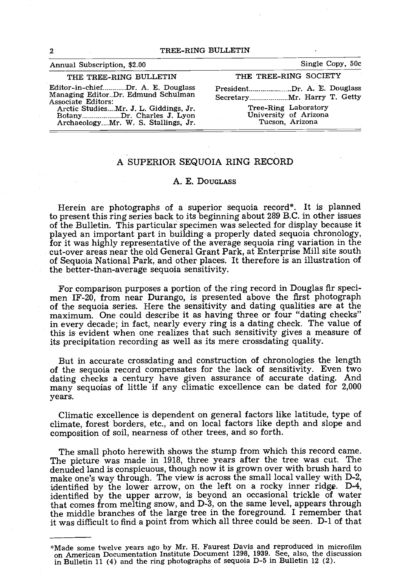| Annual Subscription, \$2.00                                                                                                                                                                                | Single Copy, 50c                                                                                |
|------------------------------------------------------------------------------------------------------------------------------------------------------------------------------------------------------------|-------------------------------------------------------------------------------------------------|
| THE TREE-RING BULLETIN                                                                                                                                                                                     | THE TREE-RING SOCIETY                                                                           |
| Editor-in-chiefDr. A. E. Douglass<br>Managing EditorDr. Edmund Schulman<br>Associate Editors:<br>Arctic StudiesMr. J. L. Giddings, Jr.<br>BotanyDr. Charles J. Lyon<br>ArchaeologyMr. W. S. Stallings, Jr. | PresidentDr. A. E. Douglass<br>Tree-Ring Laboratory<br>University of Arizona<br>Tucson, Arizona |

## A SUPERIOR SEQUOIA RING RECORD

## A. E. DOUGLASS

Herein are photographs of a superior sequoia record\*. It is planned to present this ring series back to its beginning about 289 B.C. in other issues of the Bulletin. This particular specimen was selected for display because it<br>played an important part in building a properly dated sequoia chronology,<br>for it was highly representative of the average sequoia ring variation of Sequoia National Park, and other places. It therefore is an illustration of the better -than -average sequoia sensitivity.

For comparison purposes a portion of the ring record in Douglas fir speci-<br>men IF-20, from near Durango, is presented above the first photograph<br>of the sequoia series. Here the sensitivity and dating qualities are at the<br>m in every decade; in fact, nearly every ring is a dating check. The value of this is evident when one realizes that such sensitivity gives a measure of its precipitation recording as well as its mere crossdating quality.

But in accurate crossdating and construction of chronologies the length<br>of the sequoia record compensates for the lack of sensitivity. Even two<br>dating checks a century have given assurance of accurate dating. And<br>many sequ years.

Climatic excellence is dependent on general factors like latitude, type of climate, forest borders, etc., and on local factors like depth and slope and composition of soil, nearness of other trees, and so forth.

The small photo herewith shows the stump from which this record came.<br>The picture was made in 1918, three years after the tree was cut. The<br>denuded land is conspicuous, though now it is grown over with brush hard to<br>make o that comes from melting snow, and D-3, on the same level, appears through the middle branches of the large tree in the foreground. I remember that it was difficult to find a point from which all three could be seen. D-1 of that

<sup>\*</sup>Made some twelve years ago by Mr. H. Faurest Davis and reproduced in microfilm on American Documentation Institute Document 1298, 1939. See, also, the discussion in Bulletin 11 (4) and the ring photographs of sequoia  $D-5$  in Bulletin 12 (2).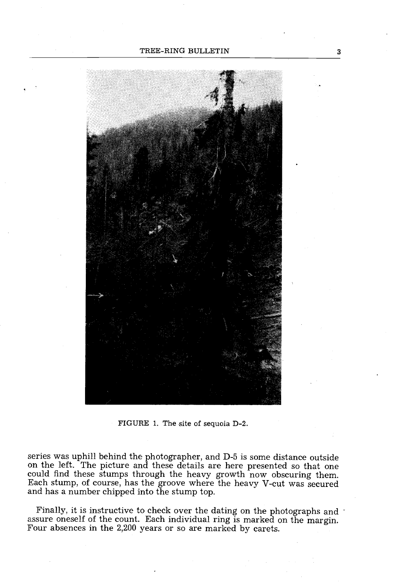

FIGURE 1. The site of sequoia D-2.

series was uphill behind the photographer, and D-5 is some distance outside on the left. The picture and these details are here presented so that one could find these stumps through the heavy growth now obscuring them. Each stump, of course, has the groove where the heavy V-cut was secured and has a number chipped into the stump top.

Finally, it is instructive to check over the dating on the photographs and  $\cdot$ assure oneself of the count. Each individual ring is marked on the margin. Four absences in the 2,200 years or so are marked by carets.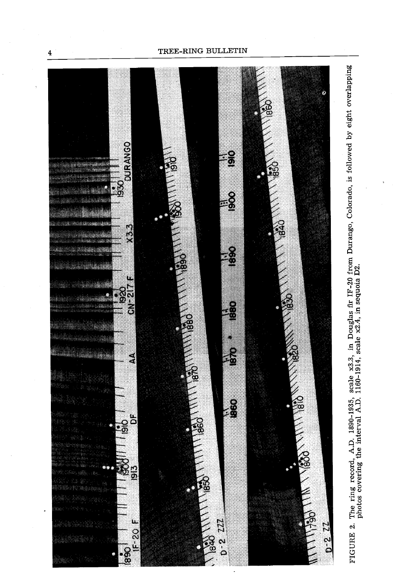

 $\overline{\mathbf{4}}$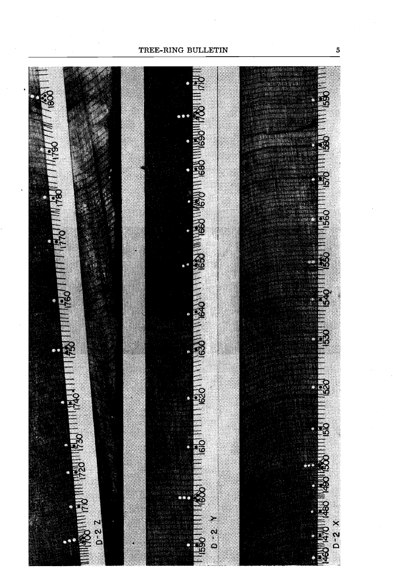